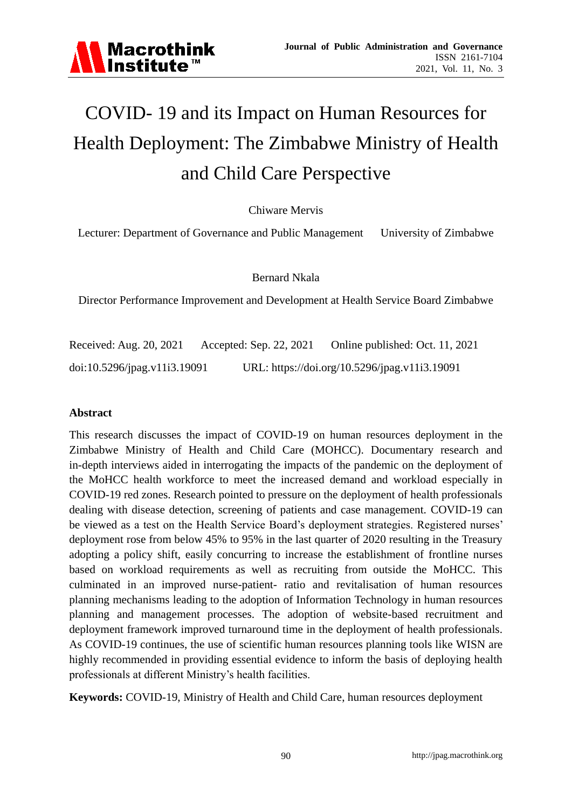

# COVID- 19 and its Impact on Human Resources for Health Deployment: The Zimbabwe Ministry of Health and Child Care Perspective

Chiware Mervis

Lecturer: Department of Governance and Public Management University of Zimbabwe

Bernard Nkala

Director Performance Improvement and Development at Health Service Board Zimbabwe

Received: Aug. 20, 2021 Accepted: Sep. 22, 2021 Online published: Oct. 11, 2021 doi:10.5296/jpag.v11i3.19091 URL: https://doi.org/10.5296/jpag.v11i3.19091

#### **Abstract**

This research discusses the impact of COVID-19 on human resources deployment in the Zimbabwe Ministry of Health and Child Care (MOHCC). Documentary research and in-depth interviews aided in interrogating the impacts of the pandemic on the deployment of the MoHCC health workforce to meet the increased demand and workload especially in COVID-19 red zones. Research pointed to pressure on the deployment of health professionals dealing with disease detection, screening of patients and case management. COVID-19 can be viewed as a test on the Health Service Board's deployment strategies. Registered nurses' deployment rose from below 45% to 95% in the last quarter of 2020 resulting in the Treasury adopting a policy shift, easily concurring to increase the establishment of frontline nurses based on workload requirements as well as recruiting from outside the MoHCC. This culminated in an improved nurse-patient- ratio and revitalisation of human resources planning mechanisms leading to the adoption of Information Technology in human resources planning and management processes. The adoption of website-based recruitment and deployment framework improved turnaround time in the deployment of health professionals. As COVID-19 continues, the use of scientific human resources planning tools like WISN are highly recommended in providing essential evidence to inform the basis of deploying health professionals at different Ministry's health facilities.

**Keywords:** COVID-19, Ministry of Health and Child Care, human resources deployment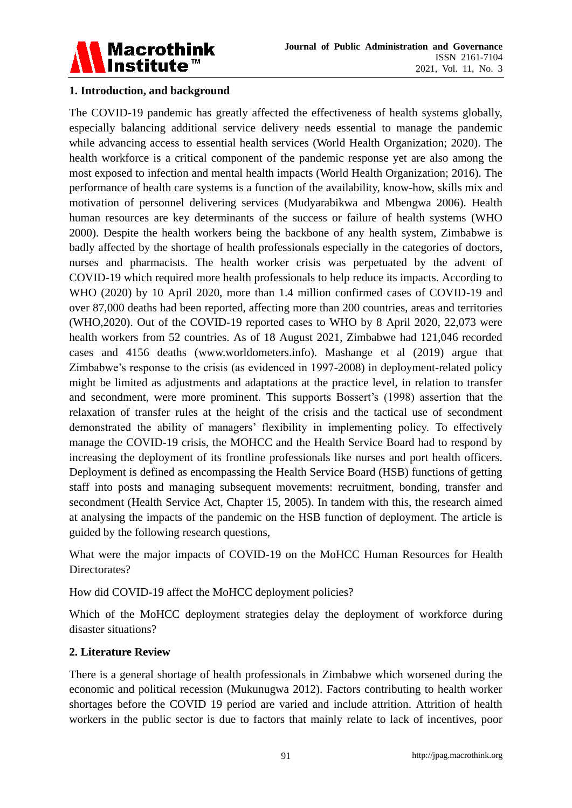

## **1. Introduction, and background**

The COVID-19 pandemic has greatly affected the effectiveness of health systems globally, especially balancing additional service delivery needs essential to manage the pandemic while advancing access to essential health services (World Health Organization; 2020). The health workforce is a critical component of the pandemic response yet are also among the most exposed to infection and mental health impacts (World Health Organization; 2016). The performance of health care systems is a function of the availability, know-how, skills mix and motivation of personnel delivering services (Mudyarabikwa and Mbengwa 2006). Health human resources are key determinants of the success or failure of health systems (WHO 2000). Despite the health workers being the backbone of any health system, Zimbabwe is badly affected by the shortage of health professionals especially in the categories of doctors, nurses and pharmacists. The health worker crisis was perpetuated by the advent of COVID-19 which required more health professionals to help reduce its impacts. According to WHO (2020) by 10 April 2020, more than 1.4 million confirmed cases of COVID-19 and over 87,000 deaths had been reported, affecting more than 200 countries, areas and territories (WHO,2020). Out of the COVID-19 reported cases to WHO by 8 April 2020, 22,073 were health workers from 52 countries. As of 18 August 2021, Zimbabwe had 121,046 recorded cases and 4156 deaths [\(www.worldometers.info\)](http://www.worldometers.info/). Mashange et al (2019) argue that Zimbabwe's response to the crisis (as evidenced in 1997-2008) in deployment-related policy might be limited as adjustments and adaptations at the practice level, in relation to transfer and secondment, were more prominent. This supports Bossert's (1998) assertion that the relaxation of transfer rules at the height of the crisis and the tactical use of secondment demonstrated the ability of managers' flexibility in implementing policy. To effectively manage the COVID-19 crisis, the MOHCC and the Health Service Board had to respond by increasing the deployment of its frontline professionals like nurses and port health officers. Deployment is defined as encompassing the Health Service Board (HSB) functions of getting staff into posts and managing subsequent movements: recruitment, bonding, transfer and secondment (Health Service Act, Chapter 15, 2005). In tandem with this, the research aimed at analysing the impacts of the pandemic on the HSB function of deployment. The article is guided by the following research questions,

What were the major impacts of COVID-19 on the MoHCC Human Resources for Health Directorates?

How did COVID-19 affect the MoHCC deployment policies?

Which of the MoHCC deployment strategies delay the deployment of workforce during disaster situations?

## **2. Literature Review**

There is a general shortage of health professionals in Zimbabwe which worsened during the economic and political recession (Mukunugwa 2012). Factors contributing to health worker shortages before the COVID 19 period are varied and include attrition. Attrition of health workers in the public sector is due to factors that mainly relate to lack of incentives, poor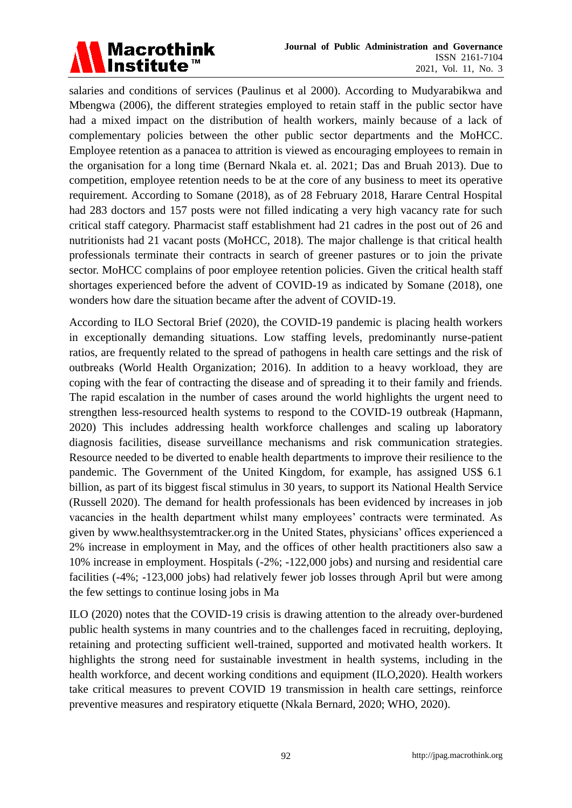

salaries and conditions of services (Paulinus et al 2000). According to Mudyarabikwa and Mbengwa (2006), the different strategies employed to retain staff in the public sector have had a mixed impact on the distribution of health workers, mainly because of a lack of complementary policies between the other public sector departments and the MoHCC. Employee retention as a panacea to attrition is viewed as encouraging employees to remain in the organisation for a long time (Bernard Nkala et. al. 2021; Das and Bruah 2013). Due to competition, employee retention needs to be at the core of any business to meet its operative requirement. According to Somane (2018), as of 28 February 2018, Harare Central Hospital had 283 doctors and 157 posts were not filled indicating a very high vacancy rate for such critical staff category. Pharmacist staff establishment had 21 cadres in the post out of 26 and nutritionists had 21 vacant posts (MoHCC, 2018). The major challenge is that critical health professionals terminate their contracts in search of greener pastures or to join the private sector. MoHCC complains of poor employee retention policies. Given the critical health staff shortages experienced before the advent of COVID-19 as indicated by Somane (2018), one wonders how dare the situation became after the advent of COVID-19.

According to ILO Sectoral Brief (2020), the COVID-19 pandemic is placing health workers in exceptionally demanding situations. Low staffing levels, predominantly nurse-patient ratios, are frequently related to the spread of pathogens in health care settings and the risk of outbreaks (World Health Organization; 2016). In addition to a heavy workload, they are coping with the fear of contracting the disease and of spreading it to their family and friends. The rapid escalation in the number of cases around the world highlights the urgent need to strengthen less-resourced health systems to respond to the COVID-19 outbreak (Hapmann, 2020) This includes addressing health workforce challenges and scaling up laboratory diagnosis facilities, disease surveillance mechanisms and risk communication strategies. Resource needed to be diverted to enable health departments to improve their resilience to the pandemic. The Government of the United Kingdom, for example, has assigned US\$ 6.1 billion, as part of its biggest fiscal stimulus in 30 years, to support its National Health Service (Russell 2020). The demand for health professionals has been evidenced by increases in job vacancies in the health department whilst many employees' contracts were terminated. As given by www.healthsystemtracker.org in the United States, physicians' offices experienced a 2% increase in employment in May, and the offices of other health practitioners also saw a 10% increase in employment. Hospitals (-2%; -122,000 jobs) and nursing and residential care facilities (-4%; -123,000 jobs) had relatively fewer job losses through April but were among the few settings to continue losing jobs in Ma

ILO (2020) notes that the COVID-19 crisis is drawing attention to the already over-burdened public health systems in many countries and to the challenges faced in recruiting, deploying, retaining and protecting sufficient well-trained, supported and motivated health workers. It highlights the strong need for sustainable investment in health systems, including in the health workforce, and decent working conditions and equipment (ILO,2020). Health workers take critical measures to prevent COVID 19 transmission in health care settings, reinforce preventive measures and respiratory etiquette (Nkala Bernard, 2020; WHO, 2020).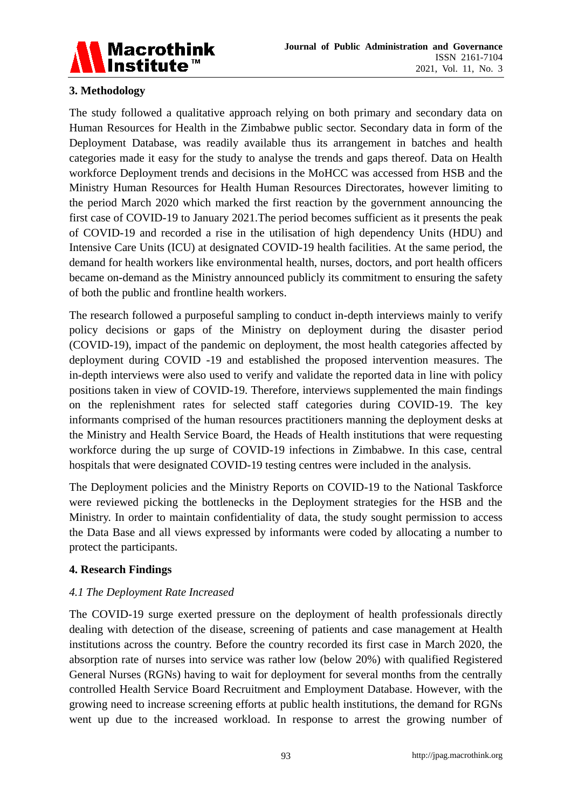

## **3. Methodology**

The study followed a qualitative approach relying on both primary and secondary data on Human Resources for Health in the Zimbabwe public sector. Secondary data in form of the Deployment Database, was readily available thus its arrangement in batches and health categories made it easy for the study to analyse the trends and gaps thereof. Data on Health workforce Deployment trends and decisions in the MoHCC was accessed from HSB and the Ministry Human Resources for Health Human Resources Directorates, however limiting to the period March 2020 which marked the first reaction by the government announcing the first case of COVID-19 to January 2021.The period becomes sufficient as it presents the peak of COVID-19 and recorded a rise in the utilisation of high dependency Units (HDU) and Intensive Care Units (ICU) at designated COVID-19 health facilities. At the same period, the demand for health workers like environmental health, nurses, doctors, and port health officers became on-demand as the Ministry announced publicly its commitment to ensuring the safety of both the public and frontline health workers.

The research followed a purposeful sampling to conduct in-depth interviews mainly to verify policy decisions or gaps of the Ministry on deployment during the disaster period (COVID-19), impact of the pandemic on deployment, the most health categories affected by deployment during COVID -19 and established the proposed intervention measures. The in-depth interviews were also used to verify and validate the reported data in line with policy positions taken in view of COVID-19. Therefore, interviews supplemented the main findings on the replenishment rates for selected staff categories during COVID-19. The key informants comprised of the human resources practitioners manning the deployment desks at the Ministry and Health Service Board, the Heads of Health institutions that were requesting workforce during the up surge of COVID-19 infections in Zimbabwe. In this case, central hospitals that were designated COVID-19 testing centres were included in the analysis.

The Deployment policies and the Ministry Reports on COVID-19 to the National Taskforce were reviewed picking the bottlenecks in the Deployment strategies for the HSB and the Ministry. In order to maintain confidentiality of data, the study sought permission to access the Data Base and all views expressed by informants were coded by allocating a number to protect the participants.

## **4. Research Findings**

## *4.1 The Deployment Rate Increased*

The COVID-19 surge exerted pressure on the deployment of health professionals directly dealing with detection of the disease, screening of patients and case management at Health institutions across the country. Before the country recorded its first case in March 2020, the absorption rate of nurses into service was rather low (below 20%) with qualified Registered General Nurses (RGNs) having to wait for deployment for several months from the centrally controlled Health Service Board Recruitment and Employment Database. However, with the growing need to increase screening efforts at public health institutions, the demand for RGNs went up due to the increased workload. In response to arrest the growing number of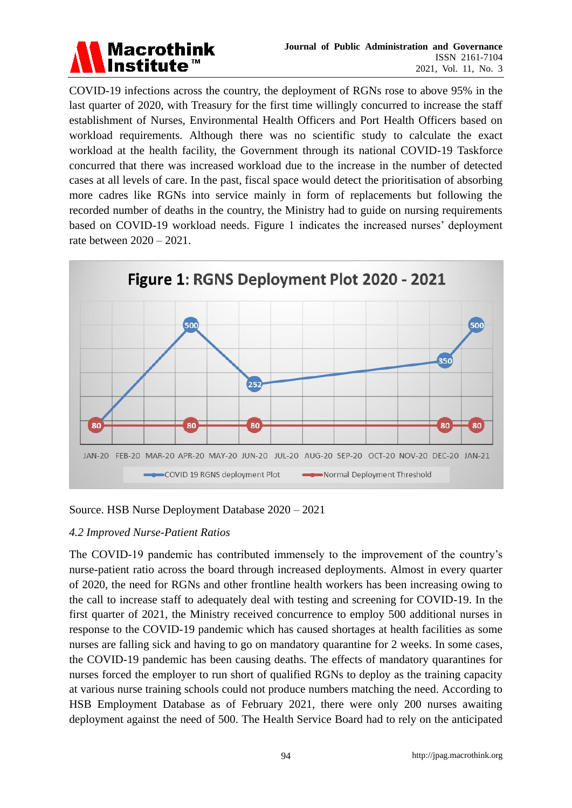

COVID-19 infections across the country, the deployment of RGNs rose to above 95% in the last quarter of 2020, with Treasury for the first time willingly concurred to increase the staff establishment of Nurses, Environmental Health Officers and Port Health Officers based on workload requirements. Although there was no scientific study to calculate the exact workload at the health facility, the Government through its national COVID-19 Taskforce concurred that there was increased workload due to the increase in the number of detected cases at all levels of care. In the past, fiscal space would detect the prioritisation of absorbing more cadres like RGNs into service mainly in form of replacements but following the recorded number of deaths in the country, the Ministry had to guide on nursing requirements based on COVID-19 workload needs. Figure 1 indicates the increased nurses' deployment rate between 2020 – 2021.



Source. HSB Nurse Deployment Database 2020 – 2021

## *4.2 Improved Nurse-Patient Ratios*

The COVID-19 pandemic has contributed immensely to the improvement of the country's nurse-patient ratio across the board through increased deployments. Almost in every quarter of 2020, the need for RGNs and other frontline health workers has been increasing owing to the call to increase staff to adequately deal with testing and screening for COVID-19. In the first quarter of 2021, the Ministry received concurrence to employ 500 additional nurses in response to the COVID-19 pandemic which has caused shortages at health facilities as some nurses are falling sick and having to go on mandatory quarantine for 2 weeks. In some cases, the COVID-19 pandemic has been causing deaths. The effects of mandatory quarantines for nurses forced the employer to run short of qualified RGNs to deploy as the training capacity at various nurse training schools could not produce numbers matching the need. According to HSB Employment Database as of February 2021, there were only 200 nurses awaiting deployment against the need of 500. The Health Service Board had to rely on the anticipated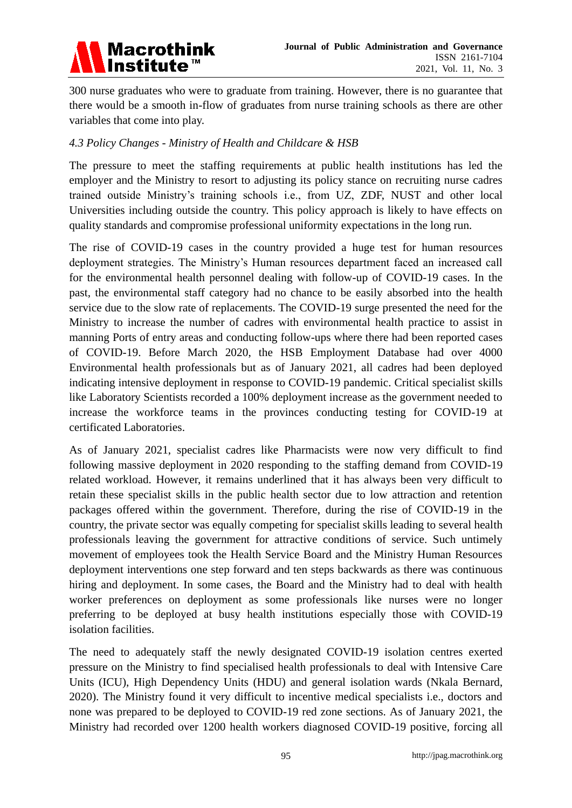

300 nurse graduates who were to graduate from training. However, there is no guarantee that there would be a smooth in-flow of graduates from nurse training schools as there are other variables that come into play.

## *4.3 Policy Changes - Ministry of Health and Childcare & HSB*

The pressure to meet the staffing requirements at public health institutions has led the employer and the Ministry to resort to adjusting its policy stance on recruiting nurse cadres trained outside Ministry's training schools i.e., from UZ, ZDF, NUST and other local Universities including outside the country. This policy approach is likely to have effects on quality standards and compromise professional uniformity expectations in the long run.

The rise of COVID-19 cases in the country provided a huge test for human resources deployment strategies. The Ministry's Human resources department faced an increased call for the environmental health personnel dealing with follow-up of COVID-19 cases. In the past, the environmental staff category had no chance to be easily absorbed into the health service due to the slow rate of replacements. The COVID-19 surge presented the need for the Ministry to increase the number of cadres with environmental health practice to assist in manning Ports of entry areas and conducting follow-ups where there had been reported cases of COVID-19. Before March 2020, the HSB Employment Database had over 4000 Environmental health professionals but as of January 2021, all cadres had been deployed indicating intensive deployment in response to COVID-19 pandemic. Critical specialist skills like Laboratory Scientists recorded a 100% deployment increase as the government needed to increase the workforce teams in the provinces conducting testing for COVID-19 at certificated Laboratories.

As of January 2021, specialist cadres like Pharmacists were now very difficult to find following massive deployment in 2020 responding to the staffing demand from COVID-19 related workload. However, it remains underlined that it has always been very difficult to retain these specialist skills in the public health sector due to low attraction and retention packages offered within the government. Therefore, during the rise of COVID-19 in the country, the private sector was equally competing for specialist skills leading to several health professionals leaving the government for attractive conditions of service. Such untimely movement of employees took the Health Service Board and the Ministry Human Resources deployment interventions one step forward and ten steps backwards as there was continuous hiring and deployment. In some cases, the Board and the Ministry had to deal with health worker preferences on deployment as some professionals like nurses were no longer preferring to be deployed at busy health institutions especially those with COVID-19 isolation facilities.

The need to adequately staff the newly designated COVID-19 isolation centres exerted pressure on the Ministry to find specialised health professionals to deal with Intensive Care Units (ICU), High Dependency Units (HDU) and general isolation wards (Nkala Bernard, 2020). The Ministry found it very difficult to incentive medical specialists i.e., doctors and none was prepared to be deployed to COVID-19 red zone sections. As of January 2021, the Ministry had recorded over 1200 health workers diagnosed COVID-19 positive, forcing all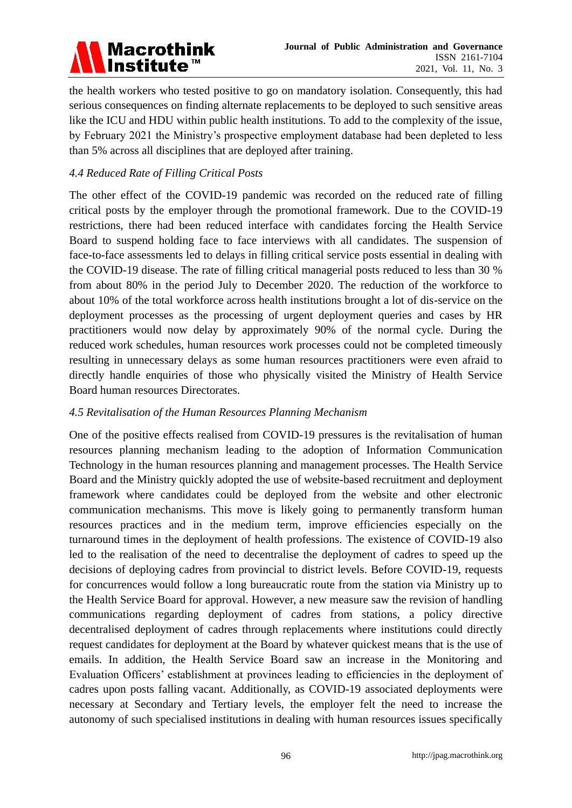

the health workers who tested positive to go on mandatory isolation. Consequently, this had serious consequences on finding alternate replacements to be deployed to such sensitive areas like the ICU and HDU within public health institutions. To add to the complexity of the issue, by February 2021 the Ministry's prospective employment database had been depleted to less than 5% across all disciplines that are deployed after training.

## *4.4 Reduced Rate of Filling Critical Posts*

The other effect of the COVID-19 pandemic was recorded on the reduced rate of filling critical posts by the employer through the promotional framework. Due to the COVID-19 restrictions, there had been reduced interface with candidates forcing the Health Service Board to suspend holding face to face interviews with all candidates. The suspension of face-to-face assessments led to delays in filling critical service posts essential in dealing with the COVID-19 disease. The rate of filling critical managerial posts reduced to less than 30 % from about 80% in the period July to December 2020. The reduction of the workforce to about 10% of the total workforce across health institutions brought a lot of dis-service on the deployment processes as the processing of urgent deployment queries and cases by HR practitioners would now delay by approximately 90% of the normal cycle. During the reduced work schedules, human resources work processes could not be completed timeously resulting in unnecessary delays as some human resources practitioners were even afraid to directly handle enquiries of those who physically visited the Ministry of Health Service Board human resources Directorates.

#### *4.5 Revitalisation of the Human Resources Planning Mechanism*

One of the positive effects realised from COVID-19 pressures is the revitalisation of human resources planning mechanism leading to the adoption of Information Communication Technology in the human resources planning and management processes. The Health Service Board and the Ministry quickly adopted the use of website-based recruitment and deployment framework where candidates could be deployed from the website and other electronic communication mechanisms. This move is likely going to permanently transform human resources practices and in the medium term, improve efficiencies especially on the turnaround times in the deployment of health professions. The existence of COVID-19 also led to the realisation of the need to decentralise the deployment of cadres to speed up the decisions of deploying cadres from provincial to district levels. Before COVID-19, requests for concurrences would follow a long bureaucratic route from the station via Ministry up to the Health Service Board for approval. However, a new measure saw the revision of handling communications regarding deployment of cadres from stations, a policy directive decentralised deployment of cadres through replacements where institutions could directly request candidates for deployment at the Board by whatever quickest means that is the use of emails. In addition, the Health Service Board saw an increase in the Monitoring and Evaluation Officers' establishment at provinces leading to efficiencies in the deployment of cadres upon posts falling vacant. Additionally, as COVID-19 associated deployments were necessary at Secondary and Tertiary levels, the employer felt the need to increase the autonomy of such specialised institutions in dealing with human resources issues specifically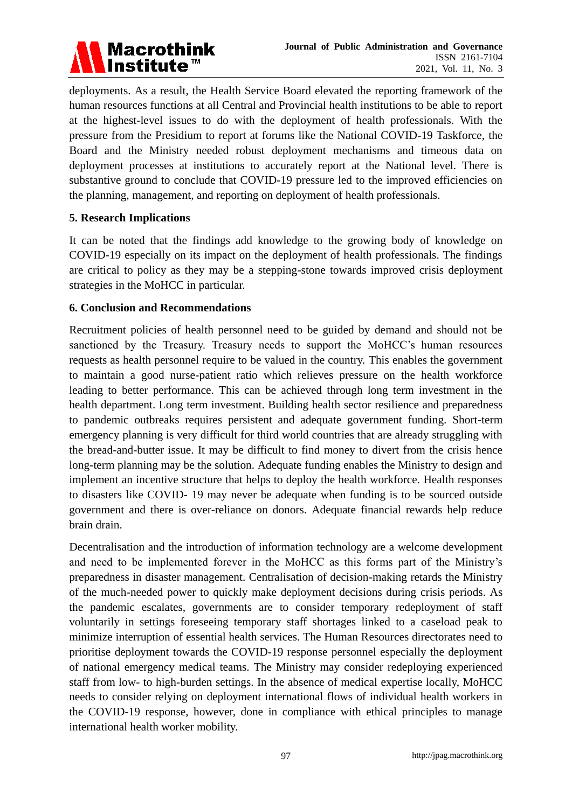

deployments. As a result, the Health Service Board elevated the reporting framework of the human resources functions at all Central and Provincial health institutions to be able to report at the highest-level issues to do with the deployment of health professionals. With the pressure from the Presidium to report at forums like the National COVID-19 Taskforce, the Board and the Ministry needed robust deployment mechanisms and timeous data on deployment processes at institutions to accurately report at the National level. There is substantive ground to conclude that COVID-19 pressure led to the improved efficiencies on the planning, management, and reporting on deployment of health professionals.

#### **5. Research Implications**

It can be noted that the findings add knowledge to the growing body of knowledge on COVID-19 especially on its impact on the deployment of health professionals. The findings are critical to policy as they may be a stepping-stone towards improved crisis deployment strategies in the MoHCC in particular.

#### **6. Conclusion and Recommendations**

Recruitment policies of health personnel need to be guided by demand and should not be sanctioned by the Treasury. Treasury needs to support the MoHCC's human resources requests as health personnel require to be valued in the country. This enables the government to maintain a good nurse-patient ratio which relieves pressure on the health workforce leading to better performance. This can be achieved through long term investment in the health department. Long term investment. Building health sector resilience and preparedness to pandemic outbreaks requires persistent and adequate government funding. Short-term emergency planning is very difficult for third world countries that are already struggling with the bread-and-butter issue. It may be difficult to find money to divert from the crisis hence long-term planning may be the solution. Adequate funding enables the Ministry to design and implement an incentive structure that helps to deploy the health workforce. Health responses to disasters like COVID- 19 may never be adequate when funding is to be sourced outside government and there is over-reliance on donors. Adequate financial rewards help reduce brain drain.

Decentralisation and the introduction of information technology are a welcome development and need to be implemented forever in the MoHCC as this forms part of the Ministry's preparedness in disaster management. Centralisation of decision-making retards the Ministry of the much-needed power to quickly make deployment decisions during crisis periods. As the pandemic escalates, governments are to consider temporary redeployment of staff voluntarily in settings foreseeing temporary staff shortages linked to a caseload peak to minimize interruption of essential health services. The Human Resources directorates need to prioritise deployment towards the COVID-19 response personnel especially the deployment of national emergency medical teams. The Ministry may consider redeploying experienced staff from low- to high-burden settings. In the absence of medical expertise locally, MoHCC needs to consider relying on deployment international flows of individual health workers in the COVID-19 response, however, done in compliance with ethical principles to manage international health worker mobility.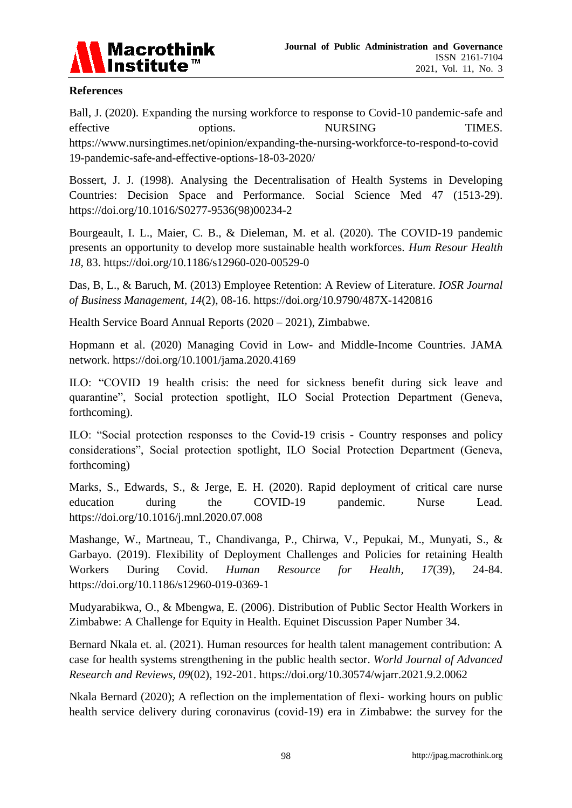

#### **References**

Ball, J. (2020). Expanding the nursing workforce to response to Covid-10 pandemic-safe and effective options. NURSING TIMES. https://www.nursingtimes.net/opinion/expanding-the-nursing-workforce-to-respond-to-covid 19-pandemic-safe-and-effective-options-18-03-2020/

Bossert, J. J. (1998). Analysing the Decentralisation of Health Systems in Developing Countries: Decision Space and Performance. Social Science Med 47 (1513-29). [https://doi.org/10.1016/S0277-9536\(98\)00234-2](https://doi.org/10.1016/S0277-9536(98)00234-2)

Bourgeault, I. L., Maier, C. B., & Dieleman, M. et al. (2020). The COVID-19 pandemic presents an opportunity to develop more sustainable health workforces. *Hum Resour Health 18,* 83. https://doi.org/10.1186/s12960-020-00529-0

Das, B, L., & Baruch, M. (2013) Employee Retention: A Review of Literature. *IOSR Journal of Business Management, 14*(2), 08-16.<https://doi.org/10.9790/487X-1420816>

Health Service Board Annual Reports (2020 – 2021), Zimbabwe.

Hopmann et al. (2020) Managing Covid in Low- and Middle-Income Countries. JAMA network.<https://doi.org/10.1001/jama.2020.4169>

ILO: "COVID 19 health crisis: the need for sickness benefit during sick leave and quarantine", Social protection spotlight, ILO Social Protection Department (Geneva, forthcoming).

ILO: "Social protection responses to the Covid-19 crisis - Country responses and policy considerations", Social protection spotlight, ILO Social Protection Department (Geneva, forthcoming)

Marks, S., Edwards, S., & Jerge, E. H. (2020). Rapid deployment of critical care nurse education during the COVID-19 pandemic. Nurse Lead. <https://doi.org/10.1016/j.mnl.2020.07.008>

Mashange, W., Martneau, T., Chandivanga, P., Chirwa, V., Pepukai, M., Munyati, S., & Garbayo. (2019). Flexibility of Deployment Challenges and Policies for retaining Health Workers During Covid. *Human Resource for Health, 17*(39), 24-84. <https://doi.org/10.1186/s12960-019-0369-1>

Mudyarabikwa, O., & Mbengwa, E. (2006). Distribution of Public Sector Health Workers in Zimbabwe: A Challenge for Equity in Health. Equinet Discussion Paper Number 34.

Bernard Nkala et. al. (2021). Human resources for health talent management contribution: A case for health systems strengthening in the public health sector. *World Journal of Advanced Research and Reviews*, *09*(02), 192-201.<https://doi.org/10.30574/wjarr.2021.9.2.0062>

Nkala Bernard (2020); A reflection on the implementation of flexi- working hours on public health service delivery during coronavirus (covid-19) era in Zimbabwe: the survey for the